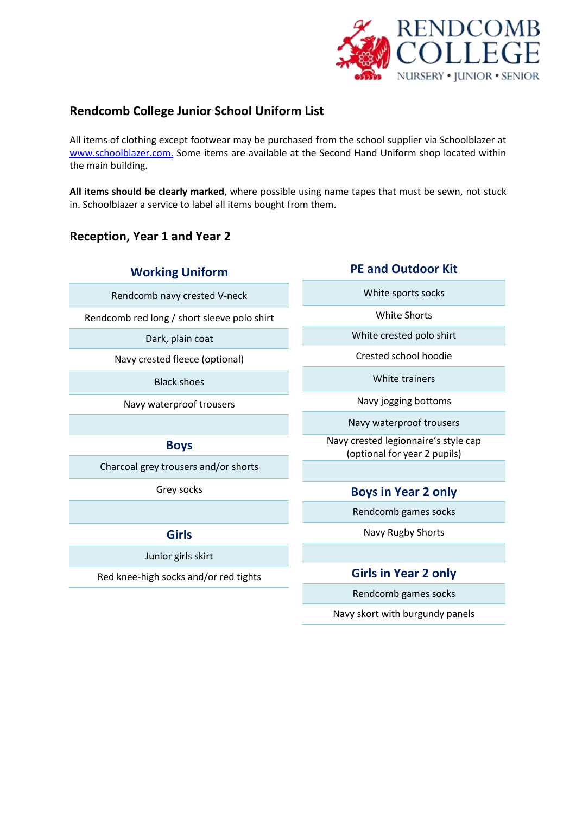

# **Rendcomb College Junior School Uniform List**

All items of clothing except footwear may be purchased from the school supplier via Schoolblazer at [www.schoolblazer.com.](http://www.schoolblazer.com/) Some items are available at the Second Hand Uniform shop located within the main building.

**All items should be clearly marked**, where possible using name tapes that must be sewn, not stuck in. Schoolblazer a service to label all items bought from them.

# **Reception, Year 1 and Year 2**

Rendcomb navy crested V-neck

Rendcomb red long / short sleeve polo shirt

Dark, plain coat

Navy crested fleece (optional)

Black shoes

Navy waterproof trousers

## **Boys**

Charcoal grey trousers and/or shorts

Grey socks

# **Girls**

Junior girls skirt

Red knee-high socks and/or red tights

## **PE and Outdoor Kit**

White sports socks

White Shorts

White crested polo shirt

Crested school hoodie

White trainers

Navy jogging bottoms

Navy waterproof trousers

Navy crested legionnaire's style cap (optional for year 2 pupils)

## **Boys in Year 2 only**

Rendcomb games socks

Navy Rugby Shorts

## **Girls in Year 2 only**

Rendcomb games socks

Navy skort with burgundy panels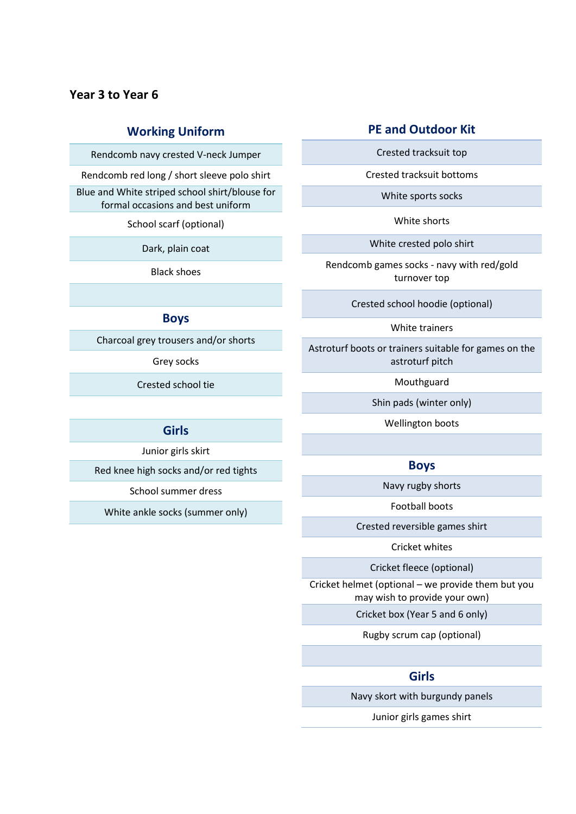## **Year 3 to Year 6**

### **Working Uniform**

Rendcomb navy crested V-neck Jumper

Rendcomb red long / short sleeve polo shirt

Blue and White striped school shirt/blouse for formal occasions and best uniform

School scarf (optional)

Dark, plain coat

Black shoes

### **Boys**

Charcoal grey trousers and/or shorts

Grey socks

Crested school tie

### **Girls**

Junior girls skirt

Red knee high socks and/or red tights

School summer dress

White ankle socks (summer only)

### **PE and Outdoor Kit**

Crested tracksuit top

Crested tracksuit bottoms

White sports socks

White shorts

White crested polo shirt

Rendcomb games socks - navy with red/gold turnover top

Crested school hoodie (optional)

White trainers

Astroturf boots or trainers suitable for games on the astroturf pitch

Mouthguard

Shin pads (winter only)

Wellington boots

#### **Boys**

Navy rugby shorts

Football boots

Crested reversible games shirt

Cricket whites

Cricket fleece (optional)

Cricket helmet (optional – we provide them but you may wish to provide your own)

Cricket box (Year 5 and 6 only)

Rugby scrum cap (optional)

### **Girls**

Navy skort with burgundy panels

Junior girls games shirt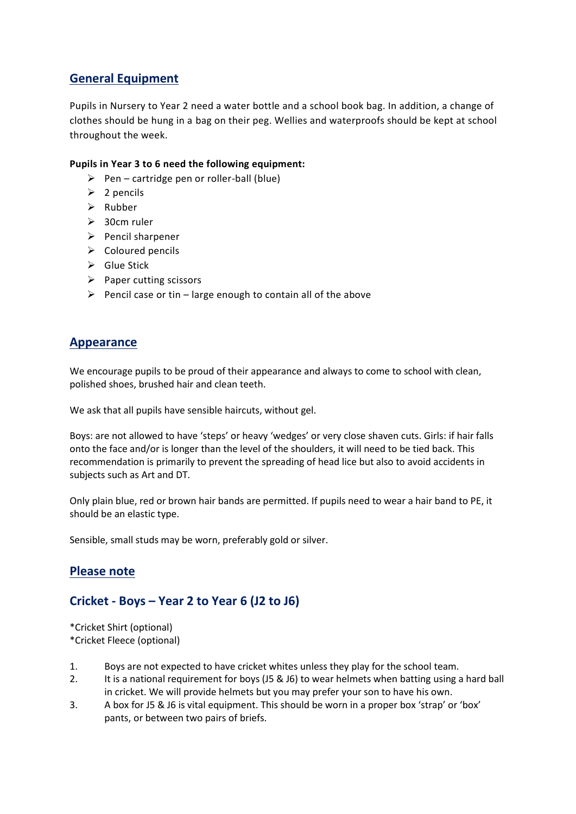# **General Equipment**

Pupils in Nursery to Year 2 need a water bottle and a school book bag. In addition, a change of clothes should be hung in a bag on their peg. Wellies and waterproofs should be kept at school throughout the week.

### **Pupils in Year 3 to 6 need the following equipment:**

- $\triangleright$  Pen cartridge pen or roller-ball (blue)
- $\geq 2$  pencils
- $\triangleright$  Rubber
- $\geq$  30cm ruler
- $\triangleright$  Pencil sharpener
- $\triangleright$  Coloured pencils
- $\triangleright$  Glue Stick
- $\triangleright$  Paper cutting scissors
- Pencil case or tin large enough to contain all of the above

## **Appearance**

We encourage pupils to be proud of their appearance and always to come to school with clean, polished shoes, brushed hair and clean teeth.

We ask that all pupils have sensible haircuts, without gel.

Boys: are not allowed to have 'steps' or heavy 'wedges' or very close shaven cuts. Girls: if hair falls onto the face and/or is longer than the level of the shoulders, it will need to be tied back. This recommendation is primarily to prevent the spreading of head lice but also to avoid accidents in subjects such as Art and DT.

Only plain blue, red or brown hair bands are permitted. If pupils need to wear a hair band to PE, it should be an elastic type.

Sensible, small studs may be worn, preferably gold or silver.

## **Please note**

# **Cricket - Boys – Year 2 to Year 6 (J2 to J6)**

\*Cricket Shirt (optional) \*Cricket Fleece (optional)

- 1. Boys are not expected to have cricket whites unless they play for the school team.
- 2. It is a national requirement for boys (J5 & J6) to wear helmets when batting using a hard ball in cricket. We will provide helmets but you may prefer your son to have his own.
- 3. A box for J5 & J6 is vital equipment. This should be worn in a proper box 'strap' or 'box' pants, or between two pairs of briefs.